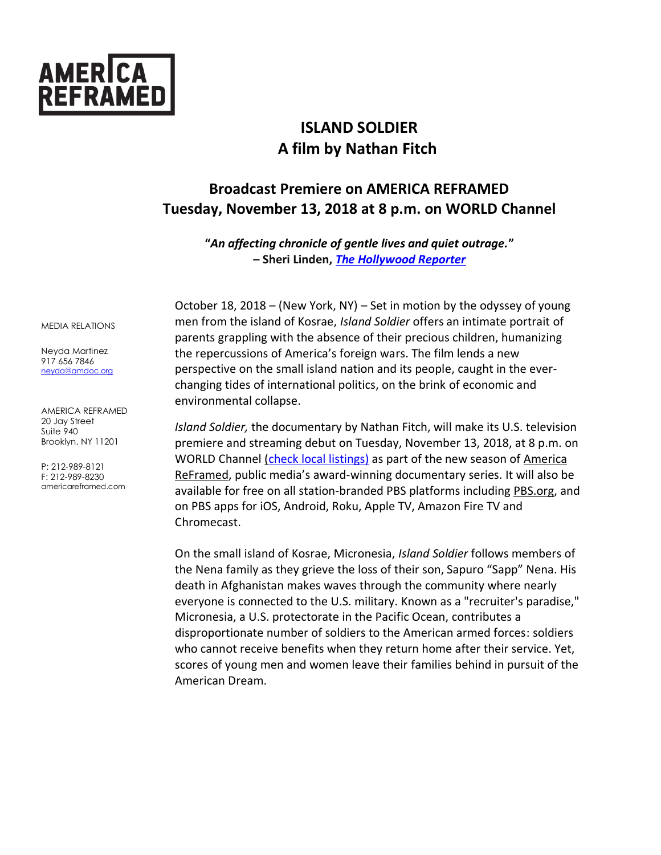

# **ISLAND SOLDIER A film by Nathan Fitch**

## **Broadcast Premiere on AMERICA REFRAMED Tuesday, November 13, 2018 at 8 p.m. on WORLD Channel**

**"***An affecting chronicle of gentle lives and quiet outrage.***" – Sheri Linden,** *[The Hollywood Reporter](https://www.hollywoodreporter.com/review/island-soldier-1057872)* 

October 18, 2018 – (New York, NY) – Set in motion by the odyssey of young men from the island of Kosrae, *Island Soldier* offers an intimate portrait of parents grappling with the absence of their precious children, humanizing the repercussions of America's foreign wars. The film lends a new perspective on the small island nation and its people, caught in the everchanging tides of international politics, on the brink of economic and environmental collapse.

*Island Soldier,* the documentary by Nathan Fitch, will make its U.S. television premiere and streaming debut on Tuesday, November 13, 2018, at 8 p.m. on WORLD Channel [\(check local listings\)](http://worldchannel.org/schedule/localize/) as part of the new season of America ReFramed, public media's award-winning documentary series. It will also be available for free on all station-branded PBS platforms including [PBS.org,](http://pbs.org/) and on PBS apps for iOS, Android, Roku, Apple TV, Amazon Fire TV and Chromecast.

On the small island of Kosrae, Micronesia, *Island Soldier* follows members of the Nena family as they grieve the loss of their son, Sapuro "Sapp" Nena. His death in Afghanistan makes waves through the community where nearly everyone is connected to the U.S. military. Known as a "recruiter's paradise," Micronesia, a U.S. protectorate in the Pacific Ocean, contributes a disproportionate number of soldiers to the American armed forces: soldiers who cannot receive benefits when they return home after their service. Yet, scores of young men and women leave their families behind in pursuit of the American Dream.

MEDIA RELATIONS

Neyda Martinez 917 656 7846 neyda@amdoc.org

AMERICA REFRAMED 20 Jay Street Suite 940 Brooklyn, NY 11201

P: 212-989-8121 F: 212-989-8230 americareframed.com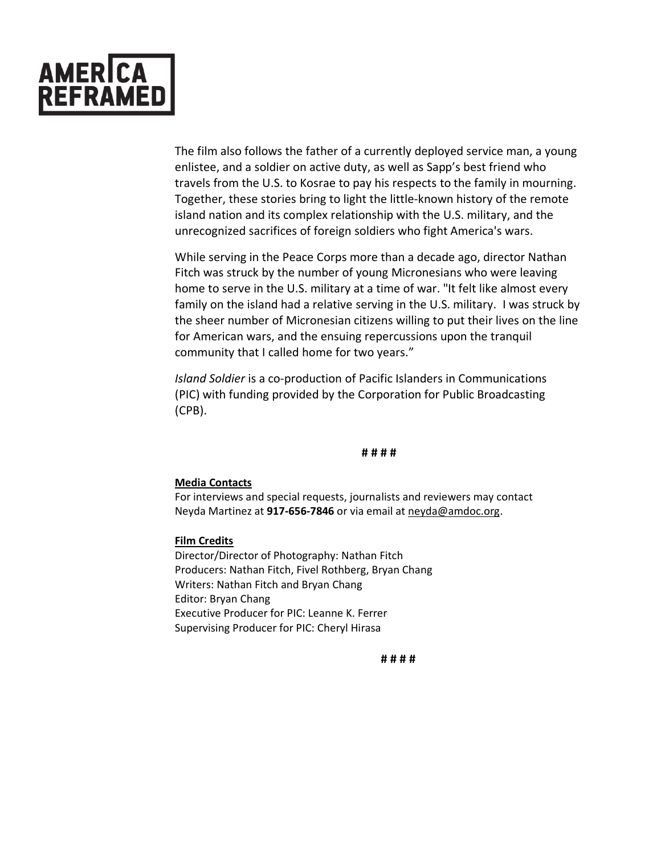

The film also follows the father of a currently deployed service man, a young enlistee, and a soldier on active duty, as well as Sapp's best friend who travels from the U.S. to Kosrae to pay his respects to the family in mourning. Together, these stories bring to light the little-known history of the remote island nation and its complex relationship with the U.S. military, and the unrecognized sacrifices of foreign soldiers who fight America's wars.

While serving in the Peace Corps more than a decade ago, director Nathan Fitch was struck by the number of young Micronesians who were leaving home to serve in the U.S. military at a time of war. "It felt like almost every family on the island had a relative serving in the U.S. military. I was struck by the sheer number of Micronesian citizens willing to put their lives on the line for American wars, and the ensuing repercussions upon the tranquil community that I called home for two years."

*Island Soldier* is a co-production of Pacific Islanders in Communications (PIC) with funding provided by the Corporation for Public Broadcasting (CPB).

#### **# # # #**

#### **Media Contacts**

For interviews and special requests, journalists and reviewers may contact Neyda Martinez at **917-656-7846** or via email at [neyda@amdoc.org.](mailto:neyda.martinez@gmail.com)

#### **Film Credits**

Director/Director of Photography: Nathan Fitch Producers: Nathan Fitch, Fivel Rothberg, Bryan Chang Writers: Nathan Fitch and Bryan Chang Editor: Bryan Chang Executive Producer for PIC: Leanne K. Ferrer Supervising Producer for PIC: Cheryl Hirasa

**# # # #**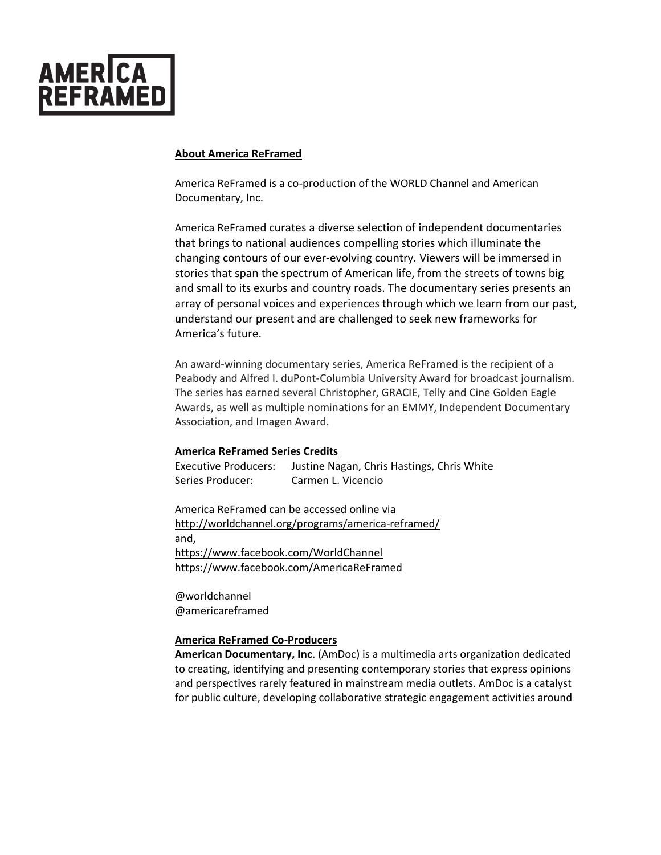

#### **About America ReFramed**

America ReFramed is a co-production of the WORLD Channel and American Documentary, Inc.

America ReFramed curates a diverse selection of independent documentaries that brings to national audiences compelling stories which illuminate the changing contours of our ever-evolving country. Viewers will be immersed in stories that span the spectrum of American life, from the streets of towns big and small to its exurbs and country roads. The documentary series presents an array of personal voices and experiences through which we learn from our past, understand our present and are challenged to seek new frameworks for America's future.

An award-winning documentary series, America ReFramed is the recipient of a Peabody and Alfred I. duPont-Columbia University Award for broadcast journalism. The series has earned several Christopher, GRACIE, Telly and Cine Golden Eagle Awards, as well as multiple nominations for an EMMY, Independent Documentary Association, and Imagen Award.

#### **America ReFramed Series Credits**

Executive Producers: Justine Nagan, Chris Hastings, Chris White Series Producer: Carmen L. Vicencio

America ReFramed can be accessed online via <http://worldchannel.org/programs/america-reframed/> and, <https://www.facebook.com/WorldChannel> <https://www.facebook.com/AmericaReFramed>

@worldchannel @americareframed

### **America ReFramed Co-Producers**

**American Documentary, Inc**. (AmDoc) is a multimedia arts organization dedicated to creating, identifying and presenting contemporary stories that express opinions and perspectives rarely featured in mainstream media outlets. AmDoc is a catalyst for public culture, developing collaborative strategic engagement activities around